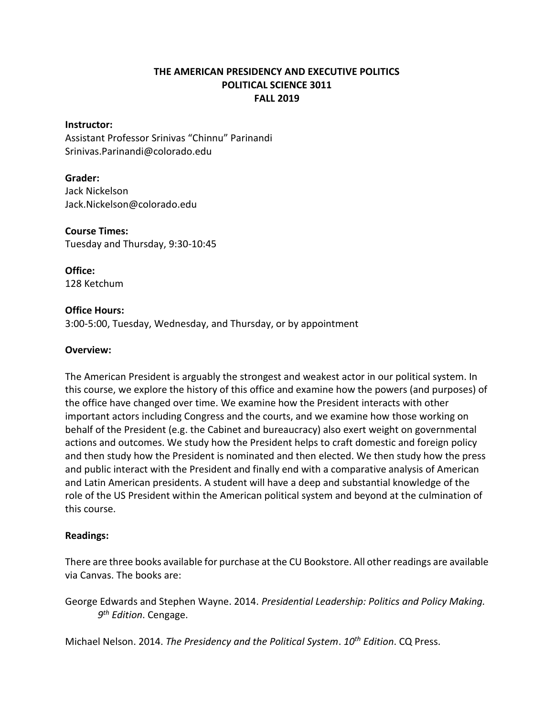# **THE AMERICAN PRESIDENCY AND EXECUTIVE POLITICS POLITICAL SCIENCE 3011 FALL 2019**

#### **Instructor:**

Assistant Professor Srinivas "Chinnu" Parinandi Srinivas.Parinandi@colorado.edu

## **Grader:**

Jack Nickelson Jack.Nickelson@colorado.edu

**Course Times:** Tuesday and Thursday, 9:30-10:45

**Office:** 128 Ketchum

#### **Office Hours:**

3:00-5:00, Tuesday, Wednesday, and Thursday, or by appointment

## **Overview:**

The American President is arguably the strongest and weakest actor in our political system. In this course, we explore the history of this office and examine how the powers (and purposes) of the office have changed over time. We examine how the President interacts with other important actors including Congress and the courts, and we examine how those working on behalf of the President (e.g. the Cabinet and bureaucracy) also exert weight on governmental actions and outcomes. We study how the President helps to craft domestic and foreign policy and then study how the President is nominated and then elected. We then study how the press and public interact with the President and finally end with a comparative analysis of American and Latin American presidents. A student will have a deep and substantial knowledge of the role of the US President within the American political system and beyond at the culmination of this course.

#### **Readings:**

There are three books available for purchase at the CU Bookstore. All other readings are available via Canvas. The books are:

George Edwards and Stephen Wayne. 2014. *Presidential Leadership: Politics and Policy Making. 9 th Edition*. Cengage.

Michael Nelson. 2014. *The Presidency and the Political System*. *10th Edition*. CQ Press.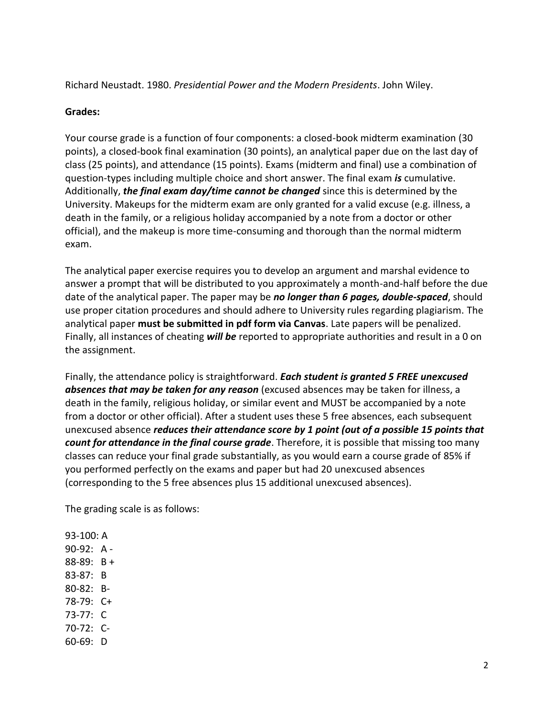Richard Neustadt. 1980. *Presidential Power and the Modern Presidents*. John Wiley.

# **Grades:**

Your course grade is a function of four components: a closed-book midterm examination (30 points), a closed-book final examination (30 points), an analytical paper due on the last day of class (25 points), and attendance (15 points). Exams (midterm and final) use a combination of question-types including multiple choice and short answer. The final exam *is* cumulative. Additionally, *the final exam day/time cannot be changed* since this is determined by the University. Makeups for the midterm exam are only granted for a valid excuse (e.g. illness, a death in the family, or a religious holiday accompanied by a note from a doctor or other official), and the makeup is more time-consuming and thorough than the normal midterm exam.

The analytical paper exercise requires you to develop an argument and marshal evidence to answer a prompt that will be distributed to you approximately a month-and-half before the due date of the analytical paper. The paper may be *no longer than 6 pages, double-spaced*, should use proper citation procedures and should adhere to University rules regarding plagiarism. The analytical paper **must be submitted in pdf form via Canvas**. Late papers will be penalized. Finally, all instances of cheating *will be* reported to appropriate authorities and result in a 0 on the assignment.

Finally, the attendance policy is straightforward. *Each student is granted 5 FREE unexcused absences that may be taken for any reason* (excused absences may be taken for illness, a death in the family, religious holiday, or similar event and MUST be accompanied by a note from a doctor or other official). After a student uses these 5 free absences, each subsequent unexcused absence *reduces their attendance score by 1 point (out of a possible 15 points that count for attendance in the final course grade*. Therefore, it is possible that missing too many classes can reduce your final grade substantially, as you would earn a course grade of 85% if you performed perfectly on the exams and paper but had 20 unexcused absences (corresponding to the 5 free absences plus 15 additional unexcused absences).

The grading scale is as follows:

93-100: A 90-92: A - 88-89: B + 83-87: B 80-82: B-78-79: C+ 73-77: C 70-72: C-60-69: D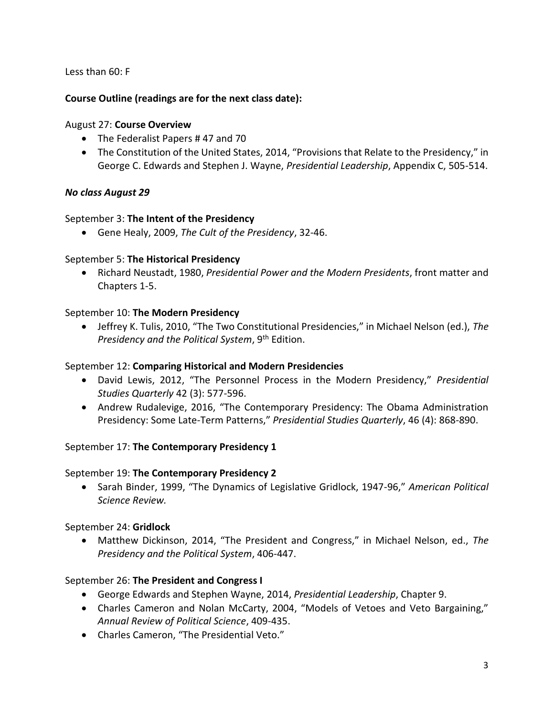Less than 60: F

# **Course Outline (readings are for the next class date):**

## August 27: **Course Overview**

- The Federalist Papers #47 and 70
- The Constitution of the United States, 2014, "Provisions that Relate to the Presidency," in George C. Edwards and Stephen J. Wayne, *Presidential Leadership*, Appendix C, 505-514.

# *No class August 29*

## September 3: **The Intent of the Presidency**

Gene Healy, 2009, *The Cult of the Presidency*, 32-46.

## September 5: **The Historical Presidency**

 Richard Neustadt, 1980, *Presidential Power and the Modern Presidents*, front matter and Chapters 1-5.

## September 10: **The Modern Presidency**

 Jeffrey K. Tulis, 2010, "The Two Constitutional Presidencies," in Michael Nelson (ed.), *The Presidency and the Political System*, 9th Edition.

#### September 12: **Comparing Historical and Modern Presidencies**

- David Lewis, 2012, "The Personnel Process in the Modern Presidency," *Presidential Studies Quarterly* 42 (3): 577-596.
- Andrew Rudalevige, 2016, "The Contemporary Presidency: The Obama Administration Presidency: Some Late-Term Patterns," *Presidential Studies Quarterly*, 46 (4): 868-890.

# September 17: **The Contemporary Presidency 1**

#### September 19: **The Contemporary Presidency 2**

 Sarah Binder, 1999, "The Dynamics of Legislative Gridlock, 1947-96," *American Political Science Review.*

# September 24: **Gridlock**

 Matthew Dickinson, 2014, "The President and Congress," in Michael Nelson, ed., *The Presidency and the Political System*, 406-447.

# September 26: **The President and Congress I**

- George Edwards and Stephen Wayne, 2014, *Presidential Leadership*, Chapter 9.
- Charles Cameron and Nolan McCarty, 2004, "Models of Vetoes and Veto Bargaining," *Annual Review of Political Science*, 409-435.
- Charles Cameron, "The Presidential Veto."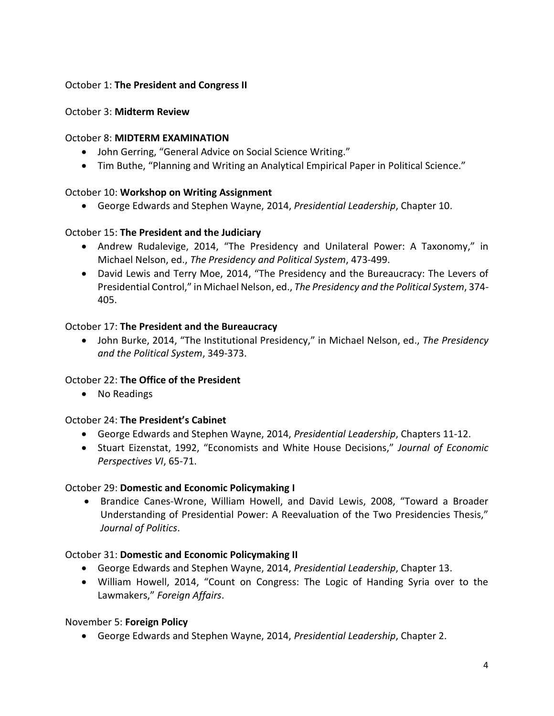# October 1: **The President and Congress II**

### October 3: **Midterm Review**

#### October 8: **MIDTERM EXAMINATION**

- John Gerring, "General Advice on Social Science Writing."
- Tim Buthe, "Planning and Writing an Analytical Empirical Paper in Political Science."

#### October 10: **Workshop on Writing Assignment**

George Edwards and Stephen Wayne, 2014, *Presidential Leadership*, Chapter 10.

#### October 15: **The President and the Judiciary**

- Andrew Rudalevige, 2014, "The Presidency and Unilateral Power: A Taxonomy," in Michael Nelson, ed., *The Presidency and Political System*, 473-499.
- David Lewis and Terry Moe, 2014, "The Presidency and the Bureaucracy: The Levers of Presidential Control," in Michael Nelson, ed., *The Presidency and the Political System*, 374- 405.

#### October 17: **The President and the Bureaucracy**

 John Burke, 2014, "The Institutional Presidency," in Michael Nelson, ed., *The Presidency and the Political System*, 349-373.

# October 22: **The Office of the President**

• No Readings

#### October 24: **The President's Cabinet**

- George Edwards and Stephen Wayne, 2014, *Presidential Leadership*, Chapters 11-12.
- Stuart Eizenstat, 1992, "Economists and White House Decisions," *Journal of Economic Perspectives VI*, 65-71.

#### October 29: **Domestic and Economic Policymaking I**

 Brandice Canes-Wrone, William Howell, and David Lewis, 2008, "Toward a Broader Understanding of Presidential Power: A Reevaluation of the Two Presidencies Thesis," *Journal of Politics*.

#### October 31: **Domestic and Economic Policymaking II**

- George Edwards and Stephen Wayne, 2014, *Presidential Leadership*, Chapter 13.
- William Howell, 2014, "Count on Congress: The Logic of Handing Syria over to the Lawmakers," *Foreign Affairs*.

# November 5: **Foreign Policy**

George Edwards and Stephen Wayne, 2014, *Presidential Leadership*, Chapter 2.